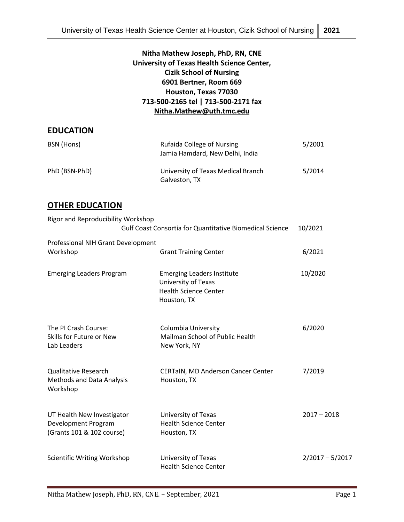# **Nitha Mathew Joseph, PhD, RN, CNE University of Texas Health Science Center, Cizik School of Nursing 6901 Bertner, Room 669 Houston, Texas 77030 713-500-2165 tel | 713-500-2171 fax [Nitha.Mathew@uth.tmc.edu](mailto:Nitha.Mathew@uth.tmc.edu)**

## **EDUCATION**

| BSN (Hons)    | Rufaida College of Nursing<br>Jamia Hamdard, New Delhi, India | 5/2001 |
|---------------|---------------------------------------------------------------|--------|
| PhD (BSN-PhD) | University of Texas Medical Branch<br>Galveston, TX           | 5/2014 |

## **OTHER EDUCATION**

| Rigor and Reproducibility Workshop                                             | <b>Gulf Coast Consortia for Quantitative Biomedical Science</b>                                         | 10/2021           |
|--------------------------------------------------------------------------------|---------------------------------------------------------------------------------------------------------|-------------------|
| Professional NIH Grant Development<br>Workshop                                 | <b>Grant Training Center</b>                                                                            | 6/2021            |
| <b>Emerging Leaders Program</b>                                                | <b>Emerging Leaders Institute</b><br>University of Texas<br><b>Health Science Center</b><br>Houston, TX | 10/2020           |
| The PI Crash Course:<br>Skills for Future or New<br>Lab Leaders                | Columbia University<br>Mailman School of Public Health<br>New York, NY                                  | 6/2020            |
| <b>Qualitative Research</b><br><b>Methods and Data Analysis</b><br>Workshop    | <b>CERTaIN, MD Anderson Cancer Center</b><br>Houston, TX                                                | 7/2019            |
| UT Health New Investigator<br>Development Program<br>(Grants 101 & 102 course) | University of Texas<br><b>Health Science Center</b><br>Houston, TX                                      | $2017 - 2018$     |
| <b>Scientific Writing Workshop</b>                                             | University of Texas<br><b>Health Science Center</b>                                                     | $2/2017 - 5/2017$ |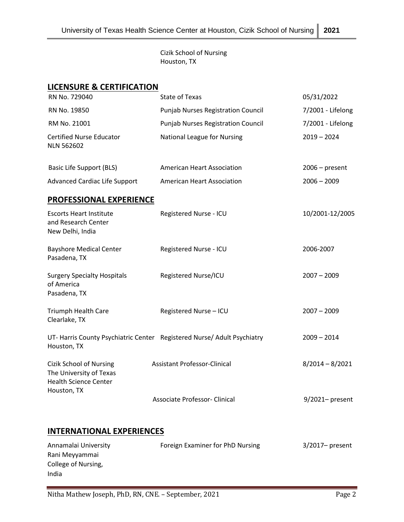Cizik School of Nursing Houston, TX

### **LICENSURE & CERTIFICATION**

| RN No. 729040                                                                             | <b>State of Texas</b>                     | 05/31/2022        |
|-------------------------------------------------------------------------------------------|-------------------------------------------|-------------------|
| RN No. 19850                                                                              | <b>Punjab Nurses Registration Council</b> | 7/2001 - Lifelong |
| RM No. 21001                                                                              | <b>Punjab Nurses Registration Council</b> | 7/2001 - Lifelong |
| <b>Certified Nurse Educator</b><br><b>NLN 562602</b>                                      | National League for Nursing               | $2019 - 2024$     |
| <b>Basic Life Support (BLS)</b>                                                           | <b>American Heart Association</b>         | $2006$ – present  |
| <b>Advanced Cardiac Life Support</b>                                                      | <b>American Heart Association</b>         | $2006 - 2009$     |
| <b>PROFESSIONAL EXPERIENCE</b>                                                            |                                           |                   |
| <b>Escorts Heart Institute</b><br>and Research Center<br>New Delhi, India                 | Registered Nurse - ICU                    | 10/2001-12/2005   |
| <b>Bayshore Medical Center</b><br>Pasadena, TX                                            | Registered Nurse - ICU                    | 2006-2007         |
| <b>Surgery Specialty Hospitals</b><br>of America<br>Pasadena, TX                          | Registered Nurse/ICU                      | $2007 - 2009$     |
| <b>Triumph Health Care</b><br>Clearlake, TX                                               | Registered Nurse - ICU                    | $2007 - 2009$     |
| UT-Harris County Psychiatric Center Registered Nurse/ Adult Psychiatry<br>Houston, TX     |                                           | $2009 - 2014$     |
| <b>Cizik School of Nursing</b><br>The University of Texas<br><b>Health Science Center</b> | <b>Assistant Professor-Clinical</b>       | $8/2014 - 8/2021$ |
| Houston, TX                                                                               | <b>Associate Professor- Clinical</b>      | $9/2021$ present  |
| <b>INTERNATIONAL EXPERIENCES</b>                                                          |                                           |                   |
| Annamalai University                                                                      | Foreign Examiner for PhD Nursing          | 3/2017- present   |

Rani Meyyammai College of Nursing,

India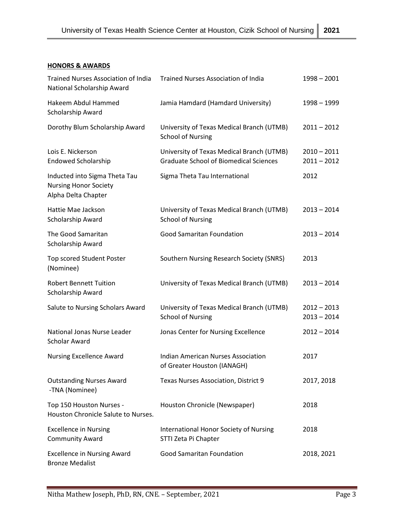### **HONORS & AWARDS**

| <b>Trained Nurses Association of India</b><br>National Scholarship Award             | <b>Trained Nurses Association of India</b>                                                 | $1998 - 2001$                  |
|--------------------------------------------------------------------------------------|--------------------------------------------------------------------------------------------|--------------------------------|
| Hakeem Abdul Hammed<br>Scholarship Award                                             | Jamia Hamdard (Hamdard University)                                                         | 1998 - 1999                    |
| Dorothy Blum Scholarship Award                                                       | University of Texas Medical Branch (UTMB)<br><b>School of Nursing</b>                      | $2011 - 2012$                  |
| Lois E. Nickerson<br><b>Endowed Scholarship</b>                                      | University of Texas Medical Branch (UTMB)<br><b>Graduate School of Biomedical Sciences</b> | $2010 - 2011$<br>$2011 - 2012$ |
| Inducted into Sigma Theta Tau<br><b>Nursing Honor Society</b><br>Alpha Delta Chapter | Sigma Theta Tau International                                                              | 2012                           |
| Hattie Mae Jackson<br>Scholarship Award                                              | University of Texas Medical Branch (UTMB)<br><b>School of Nursing</b>                      | $2013 - 2014$                  |
| The Good Samaritan<br>Scholarship Award                                              | <b>Good Samaritan Foundation</b>                                                           | $2013 - 2014$                  |
| Top scored Student Poster<br>(Nominee)                                               | Southern Nursing Research Society (SNRS)                                                   | 2013                           |
| <b>Robert Bennett Tuition</b><br>Scholarship Award                                   | University of Texas Medical Branch (UTMB)                                                  | $2013 - 2014$                  |
| Salute to Nursing Scholars Award                                                     | University of Texas Medical Branch (UTMB)<br><b>School of Nursing</b>                      | $2012 - 2013$<br>$2013 - 2014$ |
| National Jonas Nurse Leader<br>Scholar Award                                         | Jonas Center for Nursing Excellence                                                        | $2012 - 2014$                  |
| Nursing Excellence Award                                                             | <b>Indian American Nurses Association</b><br>of Greater Houston (IANAGH)                   | 2017                           |
| <b>Outstanding Nurses Award</b><br>-TNA (Nominee)                                    | Texas Nurses Association, District 9                                                       | 2017, 2018                     |
| Top 150 Houston Nurses -<br>Houston Chronicle Salute to Nurses.                      | Houston Chronicle (Newspaper)                                                              | 2018                           |
| <b>Excellence in Nursing</b><br><b>Community Award</b>                               | International Honor Society of Nursing<br>STTI Zeta Pi Chapter                             | 2018                           |
| <b>Excellence in Nursing Award</b><br><b>Bronze Medalist</b>                         | <b>Good Samaritan Foundation</b>                                                           | 2018, 2021                     |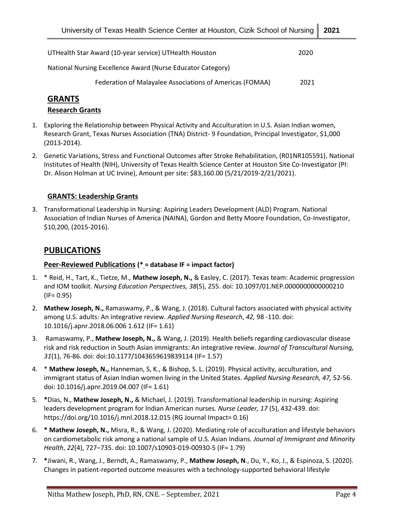| UTHealth Star Award (10-year service) UTHealth Houston      | 2020 |
|-------------------------------------------------------------|------|
| National Nursing Excellence Award (Nurse Educator Category) |      |
| Federation of Malayalee Associations of Americas (FOMAA)    | 2021 |

# **GRANTS**

### **Research Grants**

- 1. Exploring the Relationship between Physical Activity and Acculturation in U.S. Asian Indian women, Research Grant, Texas Nurses Association (TNA) District- 9 Foundation, Principal Investigator, \$1,000 (2013-2014).
- 2. Genetic Variations, Stress and Functional Outcomes after Stroke Rehabilitation, (R01NR105591), National Institutes of Health (NIH), University of Texas Health Science Center at Houston Site Co-Investigator (PI: Dr. Alison Holman at UC Irvine), Amount per site: \$83,160.00 (5/21/2019-2/21/2021).

### **GRANTS: Leadership Grants**

3. Transformational Leadership in Nursing: Aspiring Leaders Development (ALD) Program. National Association of Indian Nurses of America (NAINA), Gordon and Betty Moore Foundation, Co-Investigator, \$10,200, (2015-2016).

## **PUBLICATIONS**

### **Peer-Reviewed Publications (\* = database IF = impact factor)**

- 1. \* Reid, H., Tart, K., Tietze, M., **Mathew Joseph, N.,** & Easley, C. (2017). Texas team: Academic progression and IOM toolkit. *Nursing Education Perspectives, 38*(5), 255. doi: 10.1097/01.NEP.0000000000000210  $(IF = 0.95)$
- 2. **Mathew Joseph, N.,** Ramaswamy, P., & Wang, J. (2018). Cultural factors associated with physical activity among U.S. adults: An integrative review. *Applied Nursing Research*, *42,* 98 -110. doi: 10.1016/j.apnr.2018.06.006 1.612 (IF= 1.61)
- 3. Ramaswamy, P., **Mathew Joseph, N.,** & Wang, J. (2019). Health beliefs regarding cardiovascular disease risk and risk reduction in South Asian immigrants: An integrative review. *Journal of Transcultural Nursing, 31*(1), 76-86. doi: doi:10.1177/1043659619839114 (IF= 1.57)
- 4. \* **Mathew Joseph, N.,** Hanneman, S, K., & Bishop, S. L. (2019). Physical activity, acculturation, and immigrant status of Asian Indian women living in the United States. *Applied Nursing Research, 47,* 52-56. doi: [10.1016/j.apnr.2019.04.007](https://www.sciencedirect.com/science/article/pii/S0897189718307432?via%3Dihub) (IF= 1.61)
- 5. **\***Dias, N., **Mathew Joseph, N.,** & Michael, J. (2019). Transformational leadership in nursing: Aspiring leaders development program for Indian American nurses. *Nurse Leader, 17* (5), 432-439. doi: https://doi.org/10.1016/j.mnl.2018.12.015 (RG Journal Impact= 0.16)
- 6. **\* Mathew Joseph, N.,** Misra, R., & Wang, J. (2020). Mediating role of acculturation and lifestyle behaviors on cardiometabolic risk among a national sample of U.S. Asian Indians*. Journal of Immigrant and Minority Health*, *22*(4), 727–735. doi: 10.1007/s10903-019-00930-5 (IF= 1.79)
- 7. **\***Jiwani, R., Wang, J., Berndt, A., Ramaswamy, P., **Mathew Joseph, N**., Du, Y., Ko, J., & Espinoza, S. (2020). Changes in patient-reported outcome measures with a technology-supported behavioral lifestyle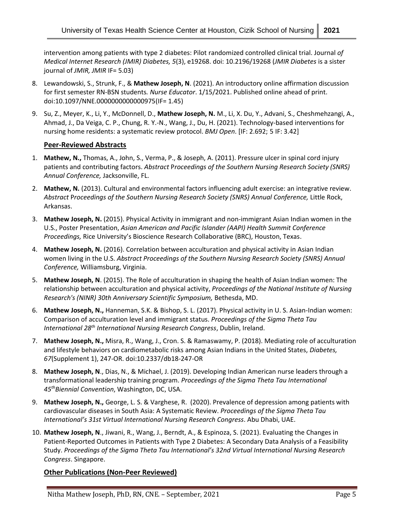intervention among patients with type 2 diabetes: Pilot randomized controlled clinical trial. Journal *of Medical Internet Research (JMIR) Diabetes, 5*(3), e19268. doi: 10.2196/19268 (*JMIR Diabetes* is a sister journal of *JMIR, JMIR* IF= 5.03)

- 8. Lewandowski, S., Strunk, F., & **Mathew Joseph, N**. (2021). An introductory online affirmation discussion for first semester RN-BSN students*. Nurse Educator*. 1/15/2021. Published online ahead of print. doi:10.1097/NNE.0000000000000975(IF= 1.45)
- 9. Su, Z., Meyer, K., Li, Y., McDonnell, D., **Mathew Joseph, N.** M., Li, X. Du, Y., Advani, S., Cheshmehzangi, A., Ahmad, J., Da Veiga, C. P., Chung, R. Y.-N., Wang, J., Du, H. (2021). Technology-based interventions for nursing home residents: a systematic review protocol. *BMJ Open*. [IF: 2.692; 5 IF: 3.42]

#### **Peer-Reviewed Abstracts**

- 1. **Mathew, N.,** Thomas, A., John, S., Verma, P., & Joseph, A. (2011). Pressure ulcer in spinal cord injury patients and contributing factors. *Abstract* P*roceedings of the Southern Nursing Research Society (SNRS) Annual Conference,* Jacksonville, FL.
- 2. **Mathew, N.** (2013). Cultural and environmental factors influencing adult exercise: an integrative review. *Abstract* P*roceedings of the Southern Nursing Research Society (SNRS) Annual Conference,* Little Rock, Arkansas.
- 3. **Mathew Joseph, N.** (2015). Physical Activity in immigrant and non-immigrant Asian Indian women in the U.S., Poster Presentation, *Asian American and Pacific Islander (AAPI) Health Summit Conference Proceedings,* Rice University's Bioscience Research Collaborative (BRC), Houston, Texas.
- 4. **Mathew Joseph, N.** (2016). Correlation between acculturation and physical activity in Asian Indian women living in the U.S. *Abstract Proceedings of the Southern Nursing Research Society (SNRS) Annual Conference,* Williamsburg, Virginia.
- 5. **Mathew Joseph, N**. (2015). The Role of acculturation in shaping the health of Asian Indian women: The relationship between acculturation and physical activity, *Proceedings of the National Institute of Nursing Research's (NINR) 30th Anniversary Scientific Symposium,* Bethesda, MD.
- 6. **Mathew Joseph, N.,** Hanneman, S.K. & Bishop, S. L. (2017). Physical activity in U. S. Asian-Indian women: Comparison of acculturation level and immigrant status. *Proceedings of the Sigma Theta Tau International 28th International Nursing Research Congress*, Dublin, Ireland.
- 7. **Mathew Joseph, N.,** Misra, R., Wang, J., Cron. S. & Ramaswamy, P. (2018). Mediating role of acculturation and lifestyle behaviors on cardiometabolic risks among Asian Indians in the United States, *Diabetes, 67*(Supplement 1), 247-OR. doi:10.2337/db18-247-OR
- 8. **Mathew Joseph, N**., Dias, N., & Michael, J. (2019). Developing Indian American nurse leaders through a transformational leadership training program. *Proceedings of the Sigma Theta Tau International 45thBiennial Convention*, Washington, DC, USA.
- 9. **Mathew Joseph, N.,** George, L. S. & Varghese, R. (2020). Prevalence of depression among patients with cardiovascular diseases in South Asia: A Systematic Review. *Proceedings of the Sigma Theta Tau International's 31st Virtual International Nursing Research Congress*. Abu Dhabi, UAE.
- 10. **Mathew Joseph, N**., Jiwani, R., Wang, J., Berndt, A., & Espinoza, S. (2021). Evaluating the Changes in Patient-Reported Outcomes in Patients with Type 2 Diabetes: A Secondary Data Analysis of a Feasibility Study. *Proceedings of the Sigma Theta Tau International's 32nd Virtual International Nursing Research Congress*. Singapore.

#### **Other Publications (Non-Peer Reviewed)**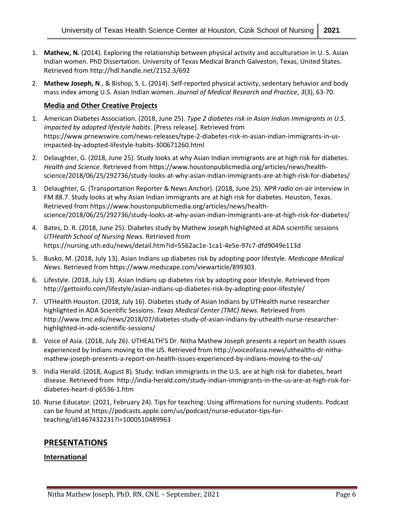- 1. **Mathew, N.** (2014). Exploring the relationship between physical activity and acculturation in U. S. Asian Indian women. PhD Dissertation. University of Texas Medical Branch Galveston, Texas, United States. Retrieved from http://hdl.handle.net/2152.3/692
- 2. **Mathew Joseph, N**., & Bishop, S. L. (2014). Self-reported physical activity, sedentary behavior and body mass index among U.S. Asian Indian women. *Journal of Medical Research and Practice*, *3*(3), 63-70.

### **Media and Other Creative Projects**

- 1. American Diabetes Association. (2018, June 25). *Type 2 diabetes risk in Asian Indian Immigrants in U.S. impacted by adopted lifestyle habits*. [Press release]. Retrieved from https://www.prnewswire.com/news-releases/type-2-diabetes-risk-in-asian-indian-immigrants-in-usimpacted-by-adopted-lifestyle-habits-300671260.html
- 2. Delaughter, G. (2018, June 25). Study looks at why Asian Indian immigrants are at high risk for diabetes. *Health and Science*. Retrieved from https://www.houstonpublicmedia.org/articles/news/healthscience/2018/06/25/292736/study-looks-at-why-asian-indian-immigrants-are-at-high-risk-for-diabetes/
- 3. Delaughter, G. (Transportation Reporter & News Anchor). (2018, June 25). *NPR radio* on-air interview in FM 88.7. Study looks at why Asian Indian immigrants are at high risk for diabetes. Houston, Texas. Retrieved from https://www.houstonpublicmedia.org/articles/news/healthscience/2018/06/25/292736/study-looks-at-why-asian-indian-immigrants-are-at-high-risk-for-diabetes/
- 4. Bates, D. R. (2018, June 25). Diabetes study by Mathew Joseph highlighted at ADA scientific sessions *UTHealth School of Nursing News.* Retrieved from https://nursing.uth.edu/news/detail.htm?id=5562ac1e-1ca1-4e5e-97c7-dfd9049e113d
- 5. Busko, M. (2018, July 13). Asian Indians up diabetes risk by adopting poor lifestyle. *Medscape Medical News.* Retrieved from https://www.medscape.com/viewarticle/899303.
- 6. Lifestyle. (2018, July 13). Asian Indians up diabetes risk by adopting poor lifestyle. Retrieved from http://gettoinfo.com/lifestyle/asian-indians-up-diabetes-risk-by-adopting-poor-lifestyle/
- 7. UTHealth Houston. (2018, July 16). Diabetes study of Asian Indians by UTHealth nurse researcher highlighted in ADA Scientific Sessions. *Texas Medical Center (TMC) News.* Retrieved from http://www.tmc.edu/news/2018/07/diabetes-study-of-asian-indians-by-uthealth-nurse-researcherhighlighted-in-ada-scientific-sessions/
- 8. Voice of Asia. (2018, July 26). UTHEALTH'S Dr. Nitha Mathew Joseph presents a report on health issues experienced by Indians moving to the US. Retrieved from http://voiceofasia.news/uthealths-dr-nithamathew-joseph-presents-a-report-on-health-issues-experienced-by-indians-moving-to-the-us/
- 9. India Herald. (2018, August 8). Study: Indian immigrants in the U.S. are at high risk for diabetes, heart disease. Retrieved from [http://india-herald.com/study-indian-immigrants-in-the-us-are-at-high-risk-for](http://india-herald.com/study-indian-immigrants-in-the-us-are-at-high-risk-for-diabetes-heart-d-p6536-1.htm)[diabetes-heart-d-p6536-1.htm](http://india-herald.com/study-indian-immigrants-in-the-us-are-at-high-risk-for-diabetes-heart-d-p6536-1.htm)
- 10. Nurse Educator. (2021, February 24). Tips for teaching: Using affirmations for nursing students. Podcast can be found at https://podcasts.apple.com/us/podcast/nurse-educator-tips-forteaching/id1467432231?i=1000510489963

## **PRESENTATIONS**

### **International**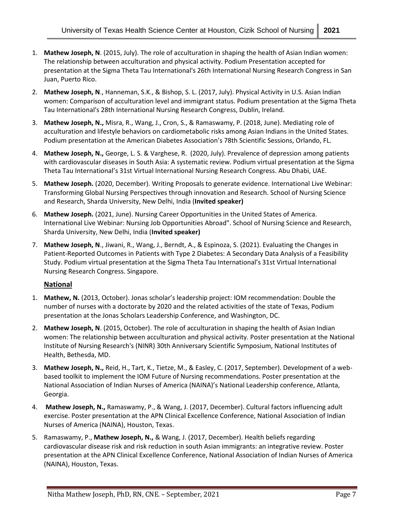- 1. **Mathew Joseph, N**. (2015, July). The role of acculturation in shaping the health of Asian Indian women: The relationship between acculturation and physical activity. Podium Presentation accepted for presentation at the Sigma Theta Tau International's 26th International Nursing Research Congress in San Juan, Puerto Rico.
- 2. **Mathew Joseph, N**., Hanneman, S.K., & Bishop, S. L. (2017, July). Physical Activity in U.S. Asian Indian women: Comparison of acculturation level and immigrant status. Podium presentation at the Sigma Theta Tau International's 28th International Nursing Research Congress, Dublin, Ireland.
- 3. **Mathew Joseph, N.,** Misra, R., Wang, J., Cron, S., & Ramaswamy, P. (2018, June). Mediating role of acculturation and lifestyle behaviors on cardiometabolic risks among Asian Indians in the United States. Podium presentation at the American Diabetes Association's 78th Scientific Sessions, Orlando, FL.
- 4. **Mathew Joseph, N.,** George, L. S. & Varghese, R. (2020, July). Prevalence of depression among patients with cardiovascular diseases in South Asia: A systematic review. Podium virtual presentation at the Sigma Theta Tau International's 31st Virtual International Nursing Research Congress. Abu Dhabi, UAE.
- 5. **Mathew Joseph.** (2020, December). Writing Proposals to generate evidence. International Live Webinar: Transforming Global Nursing Perspectives through innovation and Research. School of Nursing Science and Research, Sharda University, New Delhi, India (**Invited speaker)**
- 6. **Mathew Joseph.** (2021, June). Nursing Career Opportunities in the United States of America. International Live Webinar: Nursing Job Opportunities Abroad". School of Nursing Science and Research, Sharda University, New Delhi, India (**Invited speaker)**
- 7. **Mathew Joseph, N**., Jiwani, R., Wang, J., Berndt, A., & Espinoza, S. (2021). Evaluating the Changes in Patient-Reported Outcomes in Patients with Type 2 Diabetes: A Secondary Data Analysis of a Feasibility Study. Podium virtual presentation at the Sigma Theta Tau International's 31st Virtual International Nursing Research Congress. Singapore.

### **National**

- 1. **Mathew, N.** (2013, October). Jonas scholar's leadership project: IOM recommendation: Double the number of nurses with a doctorate by 2020 and the related activities of the state of Texas, Podium presentation at the Jonas Scholars Leadership Conference, and Washington, DC.
- 2. **Mathew Joseph, N**. (2015, October). The role of acculturation in shaping the health of Asian Indian women: The relationship between acculturation and physical activity. Poster presentation at the National Institute of Nursing Research's (NINR) 30th Anniversary Scientific Symposium, National Institutes of Health, Bethesda, MD.
- 3. **Mathew Joseph, N.,** Reid, H., Tart, K., Tietze, M., & Easley, C. (2017, September). Development of a webbased toolkit to implement the IOM Future of Nursing recommendations. Poster presentation at the National Association of Indian Nurses of America (NAINA)'s National Leadership conference, Atlanta, Georgia.
- 4. **Mathew Joseph, N.,** Ramaswamy, P., & Wang, J. (2017, December). Cultural factors influencing adult exercise. Poster presentation at the APN Clinical Excellence Conference, National Association of Indian Nurses of America (NAINA), Houston, Texas.
- 5. Ramaswamy, P., **Mathew Joseph, N.,** & Wang, J. (2017, December). Health beliefs regarding cardiovascular disease risk and risk reduction in south Asian immigrants: an integrative review. Poster presentation at the APN Clinical Excellence Conference, National Association of Indian Nurses of America (NAINA), Houston, Texas.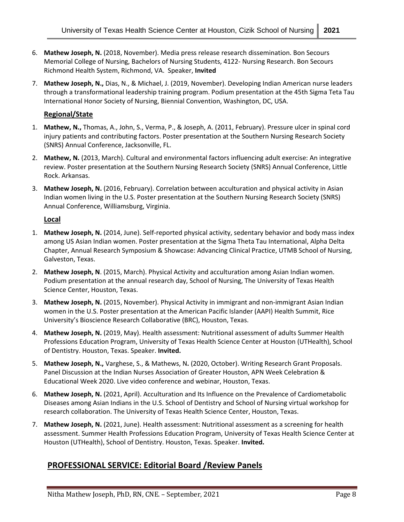- 6. **Mathew Joseph, N.** (2018, November). Media press release research dissemination. Bon Secours Memorial College of Nursing, Bachelors of Nursing Students, 4122- Nursing Research. Bon Secours Richmond Health System, Richmond, VA. Speaker, **Invited**
- 7. **Mathew Joseph, N.,** Dias, N., & Michael, J. (2019, November). Developing Indian American nurse leaders through a transformational leadership training program. Podium presentation at the 45th Sigma Teta Tau International Honor Society of Nursing, Biennial Convention, Washington, DC, USA.

### **Regional/State**

- 1. **Mathew, N.,** Thomas, A., John, S., Verma, P., & Joseph, A. (2011, February). Pressure ulcer in spinal cord injury patients and contributing factors. Poster presentation at the Southern Nursing Research Society (SNRS) Annual Conference, Jacksonville, FL.
- 2. **Mathew, N.** (2013, March). Cultural and environmental factors influencing adult exercise: An integrative review. Poster presentation at the Southern Nursing Research Society (SNRS) Annual Conference, Little Rock. Arkansas.
- 3. **Mathew Joseph, N.** (2016, February). Correlation between acculturation and physical activity in Asian Indian women living in the U.S. Poster presentation at the Southern Nursing Research Society (SNRS) Annual Conference, Williamsburg, Virginia.

#### **Local**

- 1. **Mathew Joseph, N.** (2014, June). Self-reported physical activity, sedentary behavior and body mass index among US Asian Indian women. Poster presentation at the Sigma Theta Tau International, Alpha Delta Chapter, Annual Research Symposium & Showcase: Advancing Clinical Practice, UTMB School of Nursing, Galveston, Texas.
- 2. **Mathew Joseph, N**. (2015, March). Physical Activity and acculturation among Asian Indian women. Podium presentation at the annual research day, School of Nursing, The University of Texas Health Science Center, Houston, Texas.
- 3. **Mathew Joseph, N.** (2015, November). Physical Activity in immigrant and non-immigrant Asian Indian women in the U.S. Poster presentation at the American Pacific Islander (AAPI) Health Summit, Rice University's Bioscience Research Collaborative (BRC), Houston, Texas.
- 4. **Mathew Joseph, N.** (2019, May). Health assessment: Nutritional assessment of adults Summer Health Professions Education Program, University of Texas Health Science Center at Houston (UTHealth), School of Dentistry. Houston, Texas. Speaker. **Invited.**
- 5. **Mathew Joseph, N.,** Varghese, S., & Mathews, N**.** (2020, October). Writing Research Grant Proposals. Panel Discussion at the Indian Nurses Association of Greater Houston, APN Week Celebration & Educational Week 2020. Live video conference and webinar, Houston, Texas.
- 6. **Mathew Joseph, N.** (2021, April). Acculturation and Its Influence on the Prevalence of Cardiometabolic Diseases among Asian Indians in the U.S. School of Dentistry and School of Nursing virtual workshop for research collaboration. The University of Texas Health Science Center, Houston, Texas.
- 7. **Mathew Joseph, N.** (2021, June). Health assessment: Nutritional assessment as a screening for health assessment. Summer Health Professions Education Program, University of Texas Health Science Center at Houston (UTHealth), School of Dentistry. Houston, Texas. Speaker. **Invited.**

# **PROFESSIONAL SERVICE: Editorial Board /Review Panels**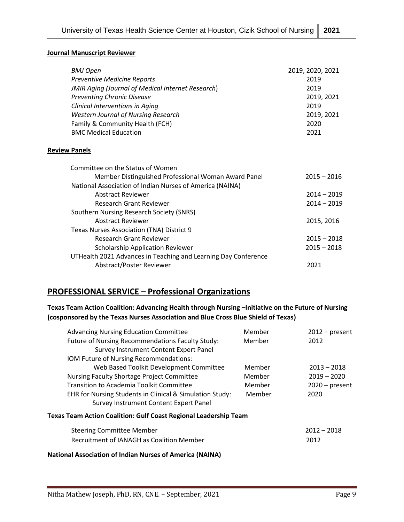#### **Journal Manuscript Reviewer**

| <b>BMJ Open</b>                                                | 2019, 2020, 2021 |
|----------------------------------------------------------------|------------------|
| <b>Preventive Medicine Reports</b>                             | 2019             |
| <b>JMIR Aging (Journal of Medical Internet Research)</b>       | 2019             |
| <b>Preventing Chronic Disease</b>                              | 2019, 2021       |
| <b>Clinical Interventions in Aging</b>                         | 2019             |
| <b>Western Journal of Nursing Research</b>                     | 2019, 2021       |
| Family & Community Health (FCH)                                | 2020             |
| <b>BMC Medical Education</b>                                   | 2021             |
| <b>Review Panels</b>                                           |                  |
| Committee on the Status of Women                               |                  |
| Member Distinguished Professional Woman Award Panel            | $2015 - 2016$    |
| National Association of Indian Nurses of America (NAINA)       |                  |
| <b>Abstract Reviewer</b>                                       | $2014 - 2019$    |
| <b>Research Grant Reviewer</b>                                 | 2014 - 2019      |
| Southern Nursing Research Society (SNRS)                       |                  |
| <b>Abstract Reviewer</b>                                       | 2015, 2016       |
| Texas Nurses Association (TNA) District 9                      |                  |
| Research Grant Reviewer                                        | $2015 - 2018$    |
| <b>Scholarship Application Reviewer</b>                        | $2015 - 2018$    |
| UTHealth 2021 Advances in Teaching and Learning Day Conference |                  |
| Abstract/Poster Reviewer                                       | 2021             |

# **PROFESSIONAL SERVICE – Professional Organizations**

**Texas Team Action Coalition: Advancing Health through Nursing –Initiative on the Future of Nursing (cosponsored by the Texas Nurses Association and Blue Cross Blue Shield of Texas)**

| <b>Advancing Nursing Education Committee</b>                     | Member | $2012$ – present |
|------------------------------------------------------------------|--------|------------------|
| Future of Nursing Recommendations Faculty Study:                 | Member | 2012             |
| Survey Instrument Content Expert Panel                           |        |                  |
| IOM Future of Nursing Recommendations:                           |        |                  |
| Web Based Toolkit Development Committee                          | Member | $2013 - 2018$    |
| Nursing Faculty Shortage Project Committee                       | Member | $2019 - 2020$    |
| Transition to Academia Toolkit Committee                         | Member | $2020$ – present |
| EHR for Nursing Students in Clinical & Simulation Study:         | Member | 2020             |
| Survey Instrument Content Expert Panel                           |        |                  |
| Texas Team Action Coalition: Gulf Coast Regional Leadership Team |        |                  |
| <b>Steering Committee Member</b>                                 |        | $2012 - 2018$    |
| Recruitment of IANAGH as Coalition Member                        |        | 2012             |
| <b>National Association of Indian Nurses of America (NAINA)</b>  |        |                  |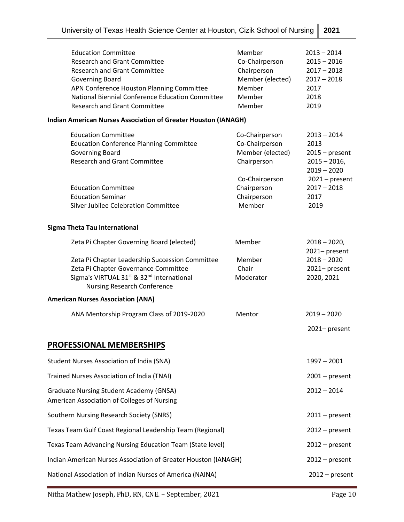| <b>Education Committee</b><br><b>Research and Grant Committee</b><br><b>Research and Grant Committee</b><br><b>Governing Board</b><br>APN Conference Houston Planning Committee<br>National Biennial Conference Education Committee<br><b>Research and Grant Committee</b> | Member<br>Co-Chairperson<br>Chairperson<br>Member (elected)<br>Member<br>Member<br>Member | $2013 - 2014$<br>$2015 - 2016$<br>$2017 - 2018$<br>$2017 - 2018$<br>2017<br>2018<br>2019 |
|----------------------------------------------------------------------------------------------------------------------------------------------------------------------------------------------------------------------------------------------------------------------------|-------------------------------------------------------------------------------------------|------------------------------------------------------------------------------------------|
| <b>Indian American Nurses Association of Greater Houston (IANAGH)</b>                                                                                                                                                                                                      |                                                                                           |                                                                                          |
| <b>Education Committee</b><br><b>Education Conference Planning Committee</b><br>Governing Board<br><b>Research and Grant Committee</b>                                                                                                                                     | Co-Chairperson<br>Co-Chairperson<br>Member (elected)<br>Chairperson                       | $2013 - 2014$<br>2013<br>$2015 - present$<br>$2015 - 2016$<br>$2019 - 2020$              |
| <b>Education Committee</b><br><b>Education Seminar</b><br>Silver Jubilee Celebration Committee                                                                                                                                                                             | Co-Chairperson<br>Chairperson<br>Chairperson<br>Member                                    | $2021 - present$<br>$2017 - 2018$<br>2017<br>2019                                        |
| Sigma Theta Tau International                                                                                                                                                                                                                                              |                                                                                           |                                                                                          |
| Zeta Pi Chapter Governing Board (elected)                                                                                                                                                                                                                                  | Member                                                                                    | $2018 - 2020,$<br>2021-present                                                           |
| Zeta Pi Chapter Leadership Succession Committee<br>Zeta Pi Chapter Governance Committee<br>Sigma's VIRTUAL 31 <sup>st</sup> & 32 <sup>nd</sup> International<br><b>Nursing Research Conference</b>                                                                         | Member<br>Chair<br>Moderator                                                              | $2018 - 2020$<br>2021-present<br>2020, 2021                                              |
| <b>American Nurses Association (ANA)</b>                                                                                                                                                                                                                                   |                                                                                           |                                                                                          |
| ANA Mentorship Program Class of 2019-2020                                                                                                                                                                                                                                  | Mentor                                                                                    | $2019 - 2020$                                                                            |
|                                                                                                                                                                                                                                                                            |                                                                                           | 2021-present                                                                             |
| <b>PROFESSIONAL MEMBERSHIPS</b>                                                                                                                                                                                                                                            |                                                                                           |                                                                                          |
| <b>Student Nurses Association of India (SNA)</b>                                                                                                                                                                                                                           |                                                                                           | $1997 - 2001$                                                                            |
| Trained Nurses Association of India (TNAI)                                                                                                                                                                                                                                 |                                                                                           | $2001$ – present                                                                         |
| <b>Graduate Nursing Student Academy (GNSA)</b><br>American Association of Colleges of Nursing                                                                                                                                                                              |                                                                                           | $2012 - 2014$                                                                            |
| Southern Nursing Research Society (SNRS)                                                                                                                                                                                                                                   |                                                                                           | $2011$ – present                                                                         |
| Texas Team Gulf Coast Regional Leadership Team (Regional)                                                                                                                                                                                                                  |                                                                                           | $2012$ – present                                                                         |
| Texas Team Advancing Nursing Education Team (State level)                                                                                                                                                                                                                  |                                                                                           | $2012$ – present                                                                         |
| Indian American Nurses Association of Greater Houston (IANAGH)                                                                                                                                                                                                             |                                                                                           | $2012$ – present                                                                         |
| National Association of Indian Nurses of America (NAINA)                                                                                                                                                                                                                   |                                                                                           | $2012$ – present                                                                         |

Nitha Mathew Joseph, PhD, RN, CNE. - September, 2021 Page 10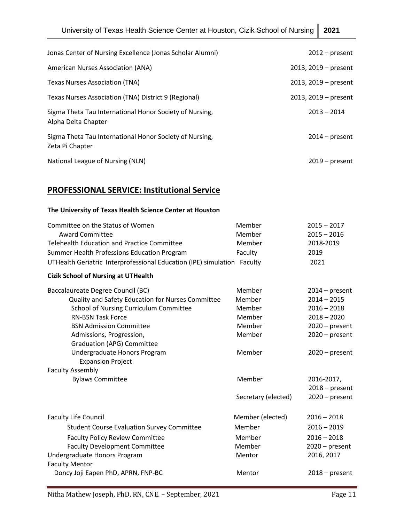| Jonas Center of Nursing Excellence (Jonas Scholar Alumni)                      | $2012$ – present       |
|--------------------------------------------------------------------------------|------------------------|
| American Nurses Association (ANA)                                              | $2013, 2019$ – present |
| Texas Nurses Association (TNA)                                                 | $2013, 2019$ – present |
| Texas Nurses Association (TNA) District 9 (Regional)                           | $2013, 2019$ – present |
| Sigma Theta Tau International Honor Society of Nursing,<br>Alpha Delta Chapter | $2013 - 2014$          |
| Sigma Theta Tau International Honor Society of Nursing,<br>Zeta Pi Chapter     | $2014$ – present       |
| National League of Nursing (NLN)                                               | $2019$ – present       |

# **PROFESSIONAL SERVICE: Institutional Service**

### **The University of Texas Health Science Center at Houston**

| Committee on the Status of Women                                        | Member              | $2015 - 2017$    |
|-------------------------------------------------------------------------|---------------------|------------------|
| <b>Award Committee</b>                                                  | Member              | $2015 - 2016$    |
| <b>Telehealth Education and Practice Committee</b>                      | Member              | 2018-2019        |
| Summer Health Professions Education Program                             | Faculty             | 2019             |
| UTHealth Geriatric Interprofessional Education (IPE) simulation Faculty |                     | 2021             |
| <b>Cizik School of Nursing at UTHealth</b>                              |                     |                  |
| Baccalaureate Degree Council (BC)                                       | Member              | $2014$ – present |
| Quality and Safety Education for Nurses Committee                       | Member              | $2014 - 2015$    |
| School of Nursing Curriculum Committee                                  | Member              | $2016 - 2018$    |
| <b>RN-BSN Task Force</b>                                                | Member              | $2018 - 2020$    |
| <b>BSN Admission Committee</b>                                          | Member              | $2020 - present$ |
| Admissions, Progression,                                                | Member              | $2020$ – present |
| <b>Graduation (APG) Committee</b>                                       |                     |                  |
| Undergraduate Honors Program                                            | Member              | $2020$ – present |
| <b>Expansion Project</b><br><b>Faculty Assembly</b>                     |                     |                  |
| <b>Bylaws Committee</b>                                                 | Member              | 2016-2017,       |
|                                                                         |                     | $2018 - present$ |
|                                                                         | Secretary (elected) | $2020 - present$ |
|                                                                         |                     |                  |
| <b>Faculty Life Council</b>                                             | Member (elected)    | $2016 - 2018$    |
| <b>Student Course Evaluation Survey Committee</b>                       | Member              | $2016 - 2019$    |
| <b>Faculty Policy Review Committee</b>                                  | Member              | $2016 - 2018$    |
| <b>Faculty Development Committee</b>                                    | Member              | $2020$ – present |
| Undergraduate Honors Program                                            | Mentor              | 2016, 2017       |
| <b>Faculty Mentor</b>                                                   |                     |                  |
| Doncy Joji Eapen PhD, APRN, FNP-BC                                      | Mentor              | $2018 - present$ |
|                                                                         |                     |                  |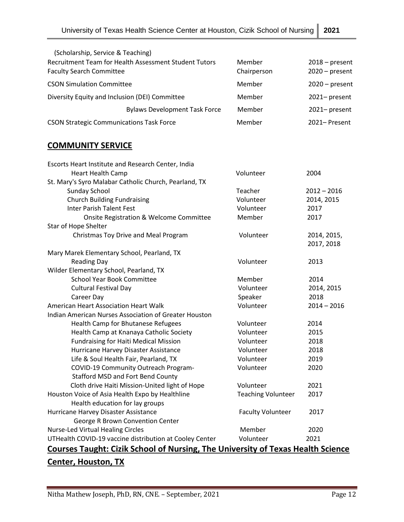| (Scholarship, Service & Teaching)                                                        |                       |                                      |
|------------------------------------------------------------------------------------------|-----------------------|--------------------------------------|
| Recruitment Team for Health Assessment Student Tutors<br><b>Faculty Search Committee</b> | Member<br>Chairperson | $2018$ – present<br>$2020$ – present |
| <b>CSON Simulation Committee</b>                                                         | Member                | $2020$ – present                     |
| Diversity Equity and Inclusion (DEI) Committee                                           | Member                | 2021-present                         |
| <b>Bylaws Development Task Force</b>                                                     | Member                | 2021-present                         |
| <b>CSON Strategic Communications Task Force</b>                                          | Member                | 2021-Present                         |

# **COMMUNITY SERVICE**

| Escorts Heart Institute and Research Center, India                                     |                           |               |
|----------------------------------------------------------------------------------------|---------------------------|---------------|
| <b>Heart Health Camp</b>                                                               | Volunteer                 | 2004          |
| St. Mary's Syro Malabar Catholic Church, Pearland, TX                                  |                           |               |
| <b>Sunday School</b>                                                                   | Teacher                   | $2012 - 2016$ |
| <b>Church Building Fundraising</b>                                                     | Volunteer                 | 2014, 2015    |
| <b>Inter Parish Talent Fest</b>                                                        | Volunteer                 | 2017          |
| Onsite Registration & Welcome Committee                                                | Member                    | 2017          |
| Star of Hope Shelter                                                                   |                           |               |
| Christmas Toy Drive and Meal Program                                                   | Volunteer                 | 2014, 2015,   |
|                                                                                        |                           | 2017, 2018    |
| Mary Marek Elementary School, Pearland, TX                                             |                           |               |
| <b>Reading Day</b>                                                                     | Volunteer                 | 2013          |
| Wilder Elementary School, Pearland, TX                                                 |                           |               |
| <b>School Year Book Committee</b>                                                      | Member                    | 2014          |
| <b>Cultural Festival Day</b>                                                           | Volunteer                 | 2014, 2015    |
| Career Day                                                                             | Speaker                   | 2018          |
| American Heart Association Heart Walk                                                  | Volunteer                 | $2014 - 2016$ |
| Indian American Nurses Association of Greater Houston                                  |                           |               |
| Health Camp for Bhutanese Refugees                                                     | Volunteer                 | 2014          |
| Health Camp at Knanaya Catholic Society                                                | Volunteer                 | 2015          |
| <b>Fundraising for Haiti Medical Mission</b>                                           | Volunteer                 | 2018          |
| Hurricane Harvey Disaster Assistance                                                   | Volunteer                 | 2018          |
| Life & Soul Health Fair, Pearland, TX                                                  | Volunteer                 | 2019          |
| COVID-19 Community Outreach Program-                                                   | Volunteer                 | 2020          |
| <b>Stafford MSD and Fort Bend County</b>                                               |                           |               |
| Cloth drive Haiti Mission-United light of Hope                                         | Volunteer                 | 2021          |
| Houston Voice of Asia Health Expo by Healthline                                        | <b>Teaching Volunteer</b> | 2017          |
| Health education for lay groups                                                        |                           |               |
| Hurricane Harvey Disaster Assistance                                                   | <b>Faculty Volunteer</b>  | 2017          |
| George R Brown Convention Center                                                       |                           |               |
| <b>Nurse-Led Virtual Healing Circles</b>                                               | Member                    | 2020          |
| UTHealth COVID-19 vaccine distribution at Cooley Center                                | Volunteer                 | 2021          |
| <b>Courses Taught: Cizik School of Nursing, The University of Texas Health Science</b> |                           |               |
| <b>Center, Houston, TX</b>                                                             |                           |               |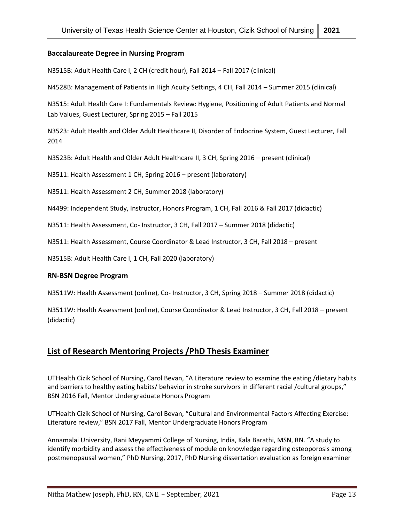#### **Baccalaureate Degree in Nursing Program**

N3515B: Adult Health Care I, 2 CH (credit hour), Fall 2014 – Fall 2017 (clinical)

N4528B: Management of Patients in High Acuity Settings, 4 CH, Fall 2014 – Summer 2015 (clinical)

N3515: Adult Health Care I: Fundamentals Review: Hygiene, Positioning of Adult Patients and Normal Lab Values, Guest Lecturer, Spring 2015 – Fall 2015

N3523: Adult Health and Older Adult Healthcare II, Disorder of Endocrine System, Guest Lecturer, Fall 2014

N3523B: Adult Health and Older Adult Healthcare II, 3 CH, Spring 2016 – present (clinical)

N3511: Health Assessment 1 CH, Spring 2016 – present (laboratory)

N3511: Health Assessment 2 CH, Summer 2018 (laboratory)

N4499: Independent Study, Instructor, Honors Program, 1 CH, Fall 2016 & Fall 2017 (didactic)

N3511: Health Assessment, Co- Instructor, 3 CH, Fall 2017 – Summer 2018 (didactic)

N3511: Health Assessment, Course Coordinator & Lead Instructor, 3 CH, Fall 2018 – present

N3515B: Adult Health Care I, 1 CH, Fall 2020 (laboratory)

#### **RN-BSN Degree Program**

N3511W: Health Assessment (online), Co- Instructor, 3 CH, Spring 2018 – Summer 2018 (didactic)

N3511W: Health Assessment (online), Course Coordinator & Lead Instructor, 3 CH, Fall 2018 – present (didactic)

### **List of Research Mentoring Projects /PhD Thesis Examiner**

UTHealth Cizik School of Nursing, Carol Bevan, "A Literature review to examine the eating /dietary habits and barriers to healthy eating habits/ behavior in stroke survivors in different racial /cultural groups," BSN 2016 Fall, Mentor Undergraduate Honors Program

UTHealth Cizik School of Nursing, Carol Bevan, "Cultural and Environmental Factors Affecting Exercise: Literature review," BSN 2017 Fall, Mentor Undergraduate Honors Program

Annamalai University, Rani Meyyammi College of Nursing, India, Kala Barathi, MSN, RN. "A study to identify morbidity and assess the effectiveness of module on knowledge regarding osteoporosis among postmenopausal women," PhD Nursing, 2017, PhD Nursing dissertation evaluation as foreign examiner